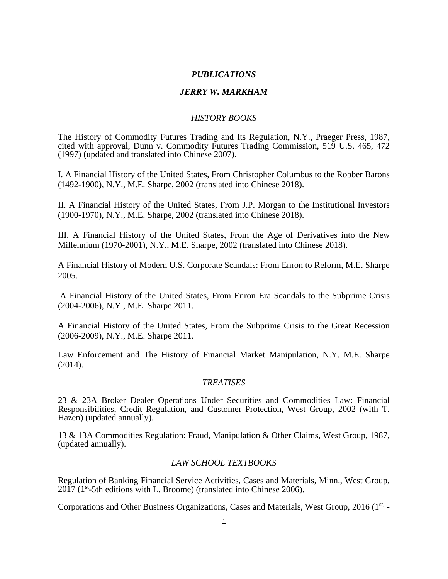## *PUBLICATIONS*

## *JERRY W. MARKHAM*

## *HISTORY BOOKS*

The History of Commodity Futures Trading and Its Regulation, N.Y., Praeger Press, 1987, cited with approval, Dunn v. Commodity Futures Trading Commission, 519 U.S. 465, 472 (1997) (updated and translated into Chinese 2007).

I. A Financial History of the United States, From Christopher Columbus to the Robber Barons (1492-1900), N.Y., M.E. Sharpe, 2002 (translated into Chinese 2018).

II. A Financial History of the United States, From J.P. Morgan to the Institutional Investors (1900-1970), N.Y., M.E. Sharpe, 2002 (translated into Chinese 2018).

III. A Financial History of the United States, From the Age of Derivatives into the New Millennium (1970-2001), N.Y., M.E. Sharpe, 2002 (translated into Chinese 2018).

A Financial History of Modern U.S. Corporate Scandals: From Enron to Reform, M.E. Sharpe 2005.

A Financial History of the United States, From Enron Era Scandals to the Subprime Crisis (2004-2006), N.Y., M.E. Sharpe 2011.

A Financial History of the United States, From the Subprime Crisis to the Great Recession (2006-2009), N.Y., M.E. Sharpe 2011.

Law Enforcement and The History of Financial Market Manipulation, N.Y. M.E. Sharpe (2014).

## *TREATISES*

23 & 23A Broker Dealer Operations Under Securities and Commodities Law: Financial Responsibilities, Credit Regulation, and Customer Protection, West Group, 2002 (with T. Hazen) (updated annually).

13 & 13A Commodities Regulation: Fraud, Manipulation & Other Claims, West Group, 1987, (updated annually).

## *LAW SCHOOL TEXTBOOKS*

Regulation of Banking Financial Service Activities, Cases and Materials, Minn., West Group, 2017 (1<sup>st</sup>-5th editions with L. Broome) (translated into Chinese 2006).

Corporations and Other Business Organizations, Cases and Materials, West Group, 2016 (1<sup>st,</sup> -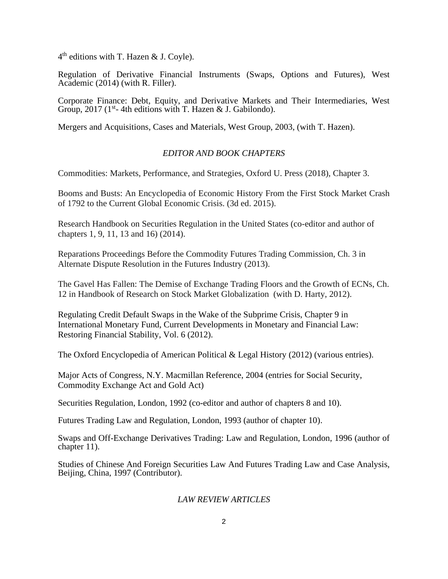$4<sup>th</sup>$  editions with T. Hazen & J. Coyle).

Regulation of Derivative Financial Instruments (Swaps, Options and Futures), West Academic (2014) (with R. Filler).

Corporate Finance: Debt, Equity, and Derivative Markets and Their Intermediaries, West Group, 2017 (1<sup>st</sup>- 4th editions with T. Hazen & J. Gabilondo).

Mergers and Acquisitions, Cases and Materials, West Group, 2003, (with T. Hazen).

## *EDITOR AND BOOK CHAPTERS*

Commodities: Markets, Performance, and Strategies, Oxford U. Press (2018), Chapter 3.

Booms and Busts: An Encyclopedia of Economic History From the First Stock Market Crash of 1792 to the Current Global Economic Crisis. (3d ed. 2015).

Research Handbook on Securities Regulation in the United States (co-editor and author of chapters 1, 9, 11, 13 and 16) (2014).

Reparations Proceedings Before the Commodity Futures Trading Commission, Ch. 3 in Alternate Dispute Resolution in the Futures Industry (2013).

The Gavel Has Fallen: The Demise of Exchange Trading Floors and the Growth of ECNs, Ch. 12 in Handbook of Research on Stock Market Globalization (with D. Harty, 2012).

Regulating Credit Default Swaps in the Wake of the Subprime Crisis, Chapter 9 in International Monetary Fund, Current Developments in Monetary and Financial Law: Restoring Financial Stability, Vol. 6 (2012).

The Oxford Encyclopedia of American Political & Legal History (2012) (various entries).

Major Acts of Congress, N.Y. Macmillan Reference, 2004 (entries for Social Security, Commodity Exchange Act and Gold Act)

Securities Regulation, London, 1992 (co-editor and author of chapters 8 and 10).

Futures Trading Law and Regulation, London, 1993 (author of chapter 10).

Swaps and Off-Exchange Derivatives Trading: Law and Regulation, London, 1996 (author of chapter 11).

Studies of Chinese And Foreign Securities Law And Futures Trading Law and Case Analysis, Beijing, China, 1997 (Contributor).

## *LAW REVIEW ARTICLES*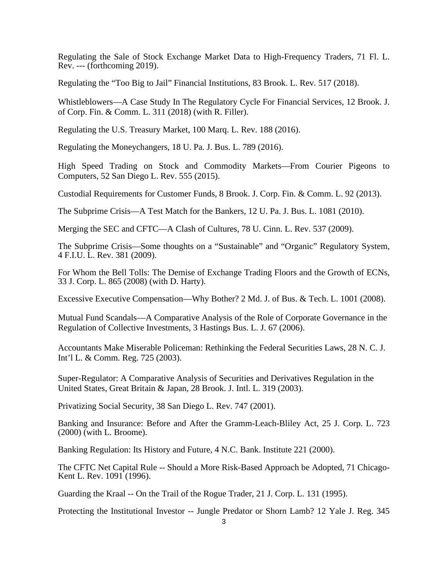Regulating the Sale of Stock Exchange Market Data to High-Frequency Traders, 71 Fl. L. Rev. --- (forthcoming 2019).

Regulating the "Too Big to Jail" Financial Institutions, 83 Brook. L. Rev. 517 (2018).

Whistleblowers—A Case Study In The Regulatory Cycle For Financial Services, 12 Brook. J. of Corp. Fin. & Comm. L. 311 (2018) (with R. Filler).

Regulating the U.S. Treasury Market, 100 Marq. L. Rev. 188 (2016).

Regulating the Moneychangers, 18 U. Pa. J. Bus. L. 789 (2016).

High Speed Trading on Stock and Commodity Markets—From Courier Pigeons to Computers, 52 San Diego L. Rev. 555 (2015).

Custodial Requirements for Customer Funds, 8 Brook. J. Corp. Fin. & Comm. L. 92 (2013).

The Subprime Crisis—A Test Match for the Bankers, 12 U. Pa. J. Bus. L. 1081 (2010).

Merging the SEC and CFTC—A Clash of Cultures, 78 U. Cinn. L. Rev. 537 (2009).

The Subprime Crisis—Some thoughts on a "Sustainable" and "Organic" Regulatory System, 4 F.I.U. L. Rev. 381 (2009).

For Whom the Bell Tolls: The Demise of Exchange Trading Floors and the Growth of ECNs, 33 J. Corp. L. 865 (2008) (with D. Harty).

Excessive Executive Compensation—Why Bother? 2 Md. J. of Bus. & Tech. L. 1001 (2008).

Mutual Fund Scandals—A Comparative Analysis of the Role of Corporate Governance in the Regulation of Collective Investments, 3 Hastings Bus. L. J. 67 (2006).

Accountants Make Miserable Policeman: Rethinking the Federal Securities Laws, 28 N. C. J. Int'l L. & Comm. Reg. 725 (2003).

Super-Regulator: A Comparative Analysis of Securities and Derivatives Regulation in the United States, Great Britain & Japan, 28 Brook. J. Intl. L. 319 (2003).

Privatizing Social Security, 38 San Diego L. Rev. 747 (2001).

Banking and Insurance: Before and After the Gramm-Leach-Bliley Act, 25 J. Corp. L. 723 (2000) (with L. Broome).

Banking Regulation: Its History and Future, 4 N.C. Bank. Institute 221 (2000).

The CFTC Net Capital Rule -- Should a More Risk-Based Approach be Adopted, 71 Chicago-Kent L. Rev. 1091 (1996).

Guarding the Kraal -- On the Trail of the Rogue Trader, 21 J. Corp. L. 131 (1995).

Protecting the Institutional Investor -- Jungle Predator or Shorn Lamb? 12 Yale J. Reg. 345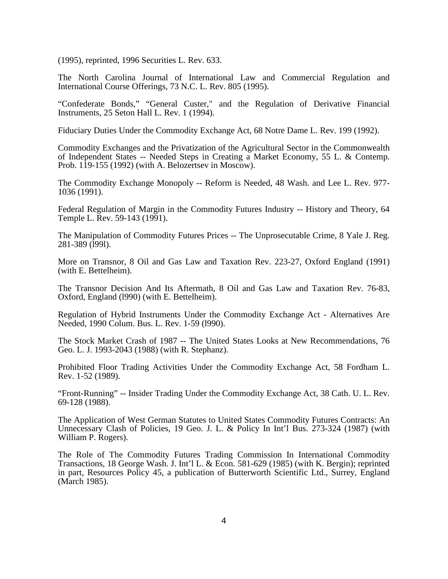(1995), reprinted, 1996 Securities L. Rev. 633.

The North Carolina Journal of International Law and Commercial Regulation and International Course Offerings, 73 N.C. L. Rev. 805 (1995).

"Confederate Bonds," "General Custer," and the Regulation of Derivative Financial Instruments, 25 Seton Hall L. Rev. 1 (1994).

Fiduciary Duties Under the Commodity Exchange Act, 68 Notre Dame L. Rev. 199 (1992).

Commodity Exchanges and the Privatization of the Agricultural Sector in the Commonwealth of Independent States -- Needed Steps in Creating a Market Economy, 55 L. & Contemp. Prob. 119-155 (1992) (with A. Belozertsev in Moscow).

The Commodity Exchange Monopoly -- Reform is Needed, 48 Wash. and Lee L. Rev. 977- 1036 (1991).

Federal Regulation of Margin in the Commodity Futures Industry -- History and Theory, 64 Temple L. Rev. 59-143 (1991).

The Manipulation of Commodity Futures Prices -- The Unprosecutable Crime, 8 Yale J. Reg. 281-389 (l99l).

More on Transnor, 8 Oil and Gas Law and Taxation Rev. 223-27, Oxford England (1991) (with E. Bettelheim).

The Transnor Decision And Its Aftermath, 8 Oil and Gas Law and Taxation Rev. 76-83, Oxford, England (l990) (with E. Bettelheim).

Regulation of Hybrid Instruments Under the Commodity Exchange Act - Alternatives Are Needed, 1990 Colum. Bus. L. Rev. 1-59 (l990).

The Stock Market Crash of 1987 -- The United States Looks at New Recommendations, 76 Geo. L. J. 1993-2043 (1988) (with R. Stephanz).

Prohibited Floor Trading Activities Under the Commodity Exchange Act, 58 Fordham L. Rev. 1-52 (1989).

"Front-Running" -- Insider Trading Under the Commodity Exchange Act, 38 Cath. U. L. Rev. 69-128 (1988).

The Application of West German Statutes to United States Commodity Futures Contracts: An Unnecessary Clash of Policies, 19 Geo. J. L. & Policy In Int'l Bus. 273-324 (1987) (with William P. Rogers).

The Role of The Commodity Futures Trading Commission In International Commodity Transactions, 18 George Wash. J. Int'l L. & Econ. 581-629 (1985) (with K. Bergin); reprinted in part, Resources Policy 45, a publication of Butterworth Scientific Ltd., Surrey, England (March 1985).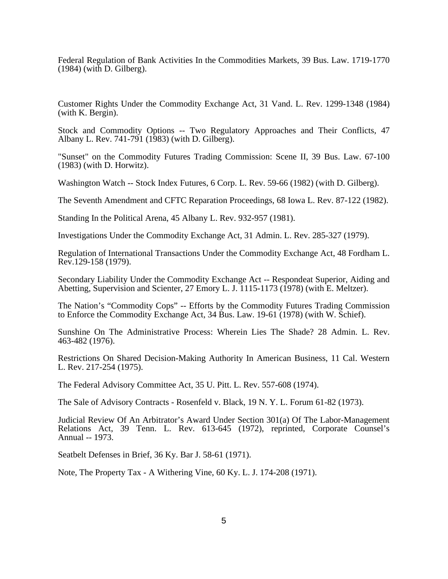Federal Regulation of Bank Activities In the Commodities Markets, 39 Bus. Law. 1719-1770 (1984) (with D. Gilberg).

Customer Rights Under the Commodity Exchange Act, 31 Vand. L. Rev. 1299-1348 (1984) (with K. Bergin).

Stock and Commodity Options -- Two Regulatory Approaches and Their Conflicts, 47 Albany L. Rev. 741-791 (1983) (with D. Gilberg).

"Sunset" on the Commodity Futures Trading Commission: Scene II, 39 Bus. Law. 67-100 (1983) (with D. Horwitz).

Washington Watch -- Stock Index Futures, 6 Corp. L. Rev. 59-66 (1982) (with D. Gilberg).

The Seventh Amendment and CFTC Reparation Proceedings, 68 Iowa L. Rev. 87-122 (1982).

Standing In the Political Arena, 45 Albany L. Rev. 932-957 (1981).

Investigations Under the Commodity Exchange Act, 31 Admin. L. Rev. 285-327 (1979).

Regulation of International Transactions Under the Commodity Exchange Act, 48 Fordham L. Rev.129-158 (1979).

Secondary Liability Under the Commodity Exchange Act -- Respondeat Superior, Aiding and Abetting, Supervision and Scienter, 27 Emory L. J. 1115-1173 (1978) (with E. Meltzer).

The Nation's "Commodity Cops" -- Efforts by the Commodity Futures Trading Commission to Enforce the Commodity Exchange Act, 34 Bus. Law. 19-61 (1978) (with W. Schief).

Sunshine On The Administrative Process: Wherein Lies The Shade? 28 Admin. L. Rev. 463-482 (1976).

Restrictions On Shared Decision-Making Authority In American Business, 11 Cal. Western L. Rev. 217-254 (1975).

The Federal Advisory Committee Act, 35 U. Pitt. L. Rev. 557-608 (1974).

The Sale of Advisory Contracts - Rosenfeld v. Black, 19 N. Y. L. Forum 61-82 (1973).

Judicial Review Of An Arbitrator's Award Under Section 301(a) Of The Labor-Management Relations Act, 39 Tenn. L. Rev. 613-645 (1972), reprinted, Corporate Counsel's Annual -- 1973.

Seatbelt Defenses in Brief, 36 Ky. Bar J. 58-61 (1971).

Note, The Property Tax - A Withering Vine, 60 Ky. L. J. 174-208 (1971).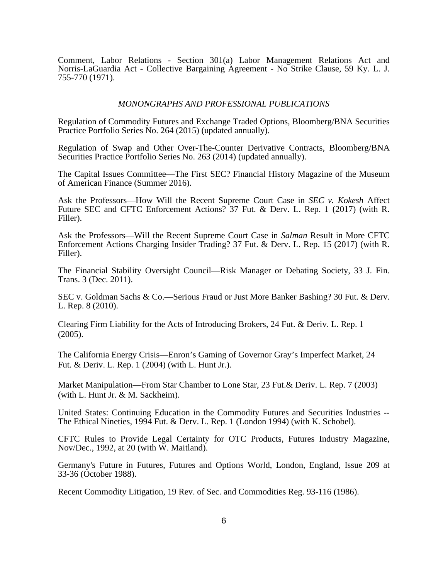Comment, Labor Relations - Section 301(a) Labor Management Relations Act and Norris-LaGuardia Act - Collective Bargaining Agreement - No Strike Clause, 59 Ky. L. J. 755-770 (1971).

#### *MONONGRAPHS AND PROFESSIONAL PUBLICATIONS*

Regulation of Commodity Futures and Exchange Traded Options, Bloomberg/BNA Securities Practice Portfolio Series No. 264 (2015) (updated annually).

Regulation of Swap and Other Over-The-Counter Derivative Contracts, Bloomberg/BNA Securities Practice Portfolio Series No. 263 (2014) (updated annually).

The Capital Issues Committee—The First SEC? Financial History Magazine of the Museum of American Finance (Summer 2016).

Ask the Professors—How Will the Recent Supreme Court Case in *SEC v. Kokesh* Affect Future SEC and CFTC Enforcement Actions? 37 Fut. & Derv. L. Rep. 1 (2017) (with R. Filler).

Ask the Professors—Will the Recent Supreme Court Case in *Salman* Result in More CFTC Enforcement Actions Charging Insider Trading? 37 Fut. & Derv. L. Rep. 15 (2017) (with R. Filler).

The Financial Stability Oversight Council—Risk Manager or Debating Society, 33 J. Fin. Trans. 3 (Dec. 2011).

SEC v. Goldman Sachs & Co.—Serious Fraud or Just More Banker Bashing? 30 Fut. & Derv. L. Rep. 8 (2010).

Clearing Firm Liability for the Acts of Introducing Brokers, 24 Fut. & Deriv. L. Rep. 1 (2005).

The California Energy Crisis—Enron's Gaming of Governor Gray's Imperfect Market, 24 Fut. & Deriv. L. Rep. 1 (2004) (with L. Hunt Jr.).

Market Manipulation—From Star Chamber to Lone Star, 23 Fut.& Deriv. L. Rep. 7 (2003) (with L. Hunt Jr. & M. Sackheim).

United States: Continuing Education in the Commodity Futures and Securities Industries -- The Ethical Nineties, 1994 Fut. & Derv. L. Rep. 1 (London 1994) (with K. Schobel).

CFTC Rules to Provide Legal Certainty for OTC Products, Futures Industry Magazine, Nov/Dec., 1992, at 20 (with W. Maitland).

Germany's Future in Futures, Futures and Options World, London, England, Issue 209 at 33-36 (October 1988).

Recent Commodity Litigation, 19 Rev. of Sec. and Commodities Reg. 93-116 (1986).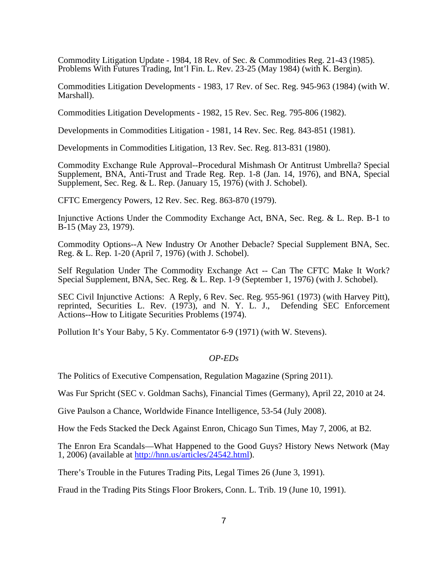Commodity Litigation Update - 1984, 18 Rev. of Sec. & Commodities Reg. 21-43 (1985). Problems With Futures Trading, Int'l Fin. L. Rev. 23-25 (May 1984) (with K. Bergin).

Commodities Litigation Developments - 1983, 17 Rev. of Sec. Reg. 945-963 (1984) (with W. Marshall).

Commodities Litigation Developments - 1982, 15 Rev. Sec. Reg. 795-806 (1982).

Developments in Commodities Litigation - 1981, 14 Rev. Sec. Reg. 843-851 (1981).

Developments in Commodities Litigation, 13 Rev. Sec. Reg. 813-831 (1980).

Commodity Exchange Rule Approval--Procedural Mishmash Or Antitrust Umbrella? Special Supplement, BNA, Anti-Trust and Trade Reg. Rep. 1-8 (Jan. 14, 1976), and BNA, Special Supplement, Sec. Reg. & L. Rep. (January 15, 1976) (with J. Schobel).

CFTC Emergency Powers, 12 Rev. Sec. Reg. 863-870 (1979).

Injunctive Actions Under the Commodity Exchange Act, BNA, Sec. Reg. & L. Rep. B-1 to B-15 (May 23, 1979).

Commodity Options--A New Industry Or Another Debacle? Special Supplement BNA, Sec. Reg. & L. Rep. 1-20 (April 7, 1976) (with J. Schobel).

Self Regulation Under The Commodity Exchange Act -- Can The CFTC Make It Work? Special Supplement, BNA, Sec. Reg. & L. Rep. 1-9 (September 1, 1976) (with J. Schobel).

SEC Civil Injunctive Actions: A Reply, 6 Rev. Sec. Reg. 955-961 (1973) (with Harvey Pitt), reprinted, Securities L. Rev. (1973), and N. Y. L. J., Defending SEC Enforcement Actions--How to Litigate Securities Problems (1974).

Pollution It's Your Baby, 5 Ky. Commentator 6-9 (1971) (with W. Stevens).

## *OP-EDs*

The Politics of Executive Compensation, Regulation Magazine (Spring 2011).

Was Fur Spricht (SEC v. Goldman Sachs), Financial Times (Germany), April 22, 2010 at 24.

Give Paulson a Chance, Worldwide Finance Intelligence, 53-54 (July 2008).

How the Feds Stacked the Deck Against Enron, Chicago Sun Times, May 7, 2006, at B2.

The Enron Era Scandals—What Happened to the Good Guys? History News Network (May 1, 2006) (available at [http://hnn.us/articles/24542.html\)](http://hnn.us/articles/24542.html).

There's Trouble in the Futures Trading Pits, Legal Times 26 (June 3, 1991).

Fraud in the Trading Pits Stings Floor Brokers, Conn. L. Trib. 19 (June 10, 1991).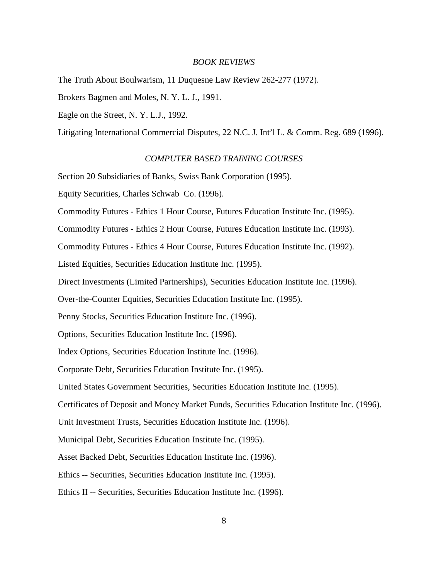#### *BOOK REVIEWS*

The Truth About Boulwarism, 11 Duquesne Law Review 262-277 (1972).

Brokers Bagmen and Moles, N. Y. L. J., 1991.

Eagle on the Street, N. Y. L.J., 1992.

Litigating International Commercial Disputes, 22 N.C. J. Int'l L. & Comm. Reg. 689 (1996).

#### *COMPUTER BASED TRAINING COURSES*

Section 20 Subsidiaries of Banks, Swiss Bank Corporation (1995).

Equity Securities, Charles Schwab Co. (1996).

Commodity Futures - Ethics 1 Hour Course, Futures Education Institute Inc. (1995).

Commodity Futures - Ethics 2 Hour Course, Futures Education Institute Inc. (1993).

Commodity Futures - Ethics 4 Hour Course, Futures Education Institute Inc. (1992).

Listed Equities, Securities Education Institute Inc. (1995).

Direct Investments (Limited Partnerships), Securities Education Institute Inc. (1996).

Over-the-Counter Equities, Securities Education Institute Inc. (1995).

Penny Stocks, Securities Education Institute Inc. (1996).

Options, Securities Education Institute Inc. (1996).

Index Options, Securities Education Institute Inc. (1996).

Corporate Debt, Securities Education Institute Inc. (1995).

United States Government Securities, Securities Education Institute Inc. (1995).

Certificates of Deposit and Money Market Funds, Securities Education Institute Inc. (1996).

Unit Investment Trusts, Securities Education Institute Inc. (1996).

Municipal Debt, Securities Education Institute Inc. (1995).

Asset Backed Debt, Securities Education Institute Inc. (1996).

Ethics -- Securities, Securities Education Institute Inc. (1995).

Ethics II -- Securities, Securities Education Institute Inc. (1996).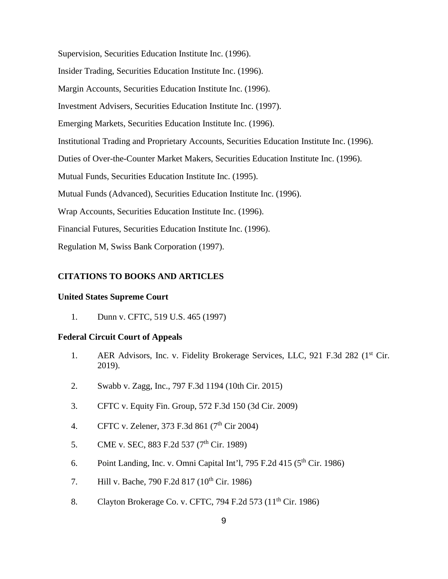Supervision, Securities Education Institute Inc. (1996). Insider Trading, Securities Education Institute Inc. (1996). Margin Accounts, Securities Education Institute Inc. (1996). Investment Advisers, Securities Education Institute Inc. (1997). Emerging Markets, Securities Education Institute Inc. (1996). Institutional Trading and Proprietary Accounts, Securities Education Institute Inc. (1996). Duties of Over-the-Counter Market Makers, Securities Education Institute Inc. (1996). Mutual Funds, Securities Education Institute Inc. (1995). Mutual Funds (Advanced), Securities Education Institute Inc. (1996). Wrap Accounts, Securities Education Institute Inc. (1996). Financial Futures, Securities Education Institute Inc. (1996). Regulation M, Swiss Bank Corporation (1997).

#### **CITATIONS TO BOOKS AND ARTICLES**

#### **United States Supreme Court**

1. Dunn v. CFTC, 519 U.S. 465 (1997)

#### **Federal Circuit Court of Appeals**

- 1. AER Advisors, Inc. v. Fidelity Brokerage Services, LLC, 921 F.3d 282 (1<sup>st</sup> Cir. 2019).
- 2. Swabb v. Zagg, Inc., 797 F.3d 1194 (10th Cir. 2015)
- 3. CFTC v. Equity Fin. Group, 572 F.3d 150 (3d Cir. 2009)
- 4. CFTC v. Zelener, 373 F.3d 861 (7<sup>th</sup> Cir 2004)
- 5. CME v. SEC, 883 F.2d 537 (7<sup>th</sup> Cir. 1989)
- 6. Point Landing, Inc. v. Omni Capital Int'l, 795 F.2d 415 ( $5<sup>th</sup>$  Cir. 1986)
- 7. Hill v. Bache, 790 F.2d 817 (10<sup>th</sup> Cir. 1986)
- 8. Clayton Brokerage Co. v. CFTC, 794 F.2d 573 (11<sup>th</sup> Cir. 1986)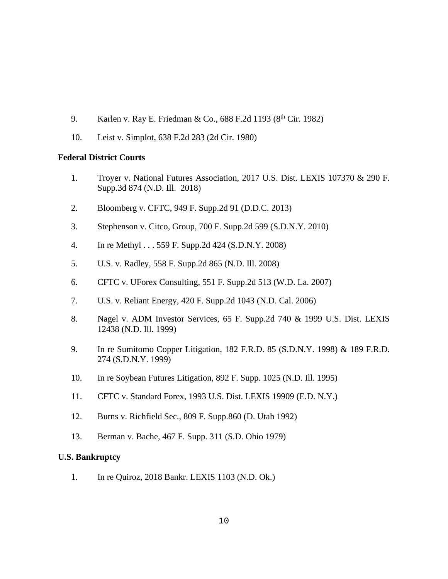- 9. Karlen v. Ray E. Friedman & Co., 688 F.2d 1193 (8<sup>th</sup> Cir. 1982)
- 10. Leist v. Simplot, 638 F.2d 283 (2d Cir. 1980)

## **Federal District Courts**

- 1. Troyer v. National Futures Association, 2017 U.S. Dist. LEXIS 107370 & 290 F. Supp.3d 874 (N.D. Ill. 2018)
- 2. Bloomberg v. CFTC, 949 F. Supp.2d 91 (D.D.C. 2013)
- 3. Stephenson v. Citco, Group, 700 F. Supp.2d 599 (S.D.N.Y. 2010)
- 4. In re Methyl . . . 559 F. Supp.2d 424 (S.D.N.Y. 2008)
- 5. U.S. v. Radley, 558 F. Supp.2d 865 (N.D. Ill. 2008)
- 6. CFTC v. UForex Consulting, 551 F. Supp.2d 513 (W.D. La. 2007)
- 7. U.S. v. Reliant Energy, 420 F. Supp.2d 1043 (N.D. Cal. 2006)
- 8. Nagel v. ADM Investor Services, 65 F. Supp.2d 740 & 1999 U.S. Dist. LEXIS 12438 (N.D. Ill. 1999)
- 9. In re Sumitomo Copper Litigation, 182 F.R.D. 85 (S.D.N.Y. 1998) & 189 F.R.D. 274 (S.D.N.Y. 1999)
- 10. In re Soybean Futures Litigation, 892 F. Supp. 1025 (N.D. Ill. 1995)
- 11. CFTC v. Standard Forex, 1993 U.S. Dist. LEXIS 19909 (E.D. N.Y.)
- 12. Burns v. Richfield Sec., 809 F. Supp.860 (D. Utah 1992)
- 13. Berman v. Bache, 467 F. Supp. 311 (S.D. Ohio 1979)

## **U.S. Bankruptcy**

1. In re Quiroz, 2018 Bankr. LEXIS 1103 (N.D. Ok.)